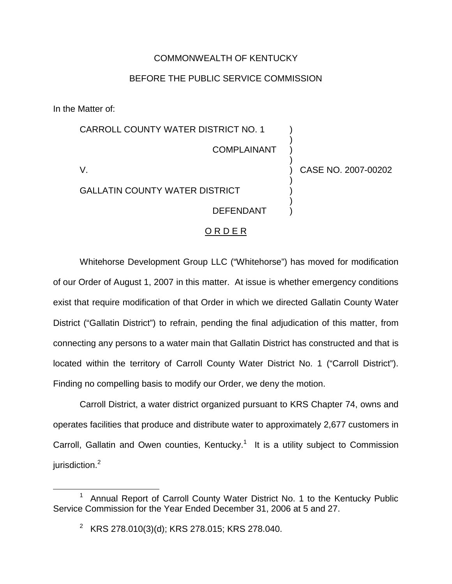## COMMONWEALTH OF KENTUCKY

## BEFORE THE PUBLIC SERVICE COMMISSION

In the Matter of:

| <b>CARROLL COUNTY WATER DISTRICT NO. 1</b> |                     |
|--------------------------------------------|---------------------|
| <b>COMPLAINANT</b>                         |                     |
|                                            | CASE NO. 2007-00202 |
| <b>GALLATIN COUNTY WATER DISTRICT</b>      |                     |
| <b>DEFENDANT</b>                           |                     |
|                                            |                     |

## O R D E R

Whitehorse Development Group LLC ("Whitehorse") has moved for modification of our Order of August 1, 2007 in this matter. At issue is whether emergency conditions exist that require modification of that Order in which we directed Gallatin County Water District ("Gallatin District") to refrain, pending the final adjudication of this matter, from connecting any persons to a water main that Gallatin District has constructed and that is located within the territory of Carroll County Water District No. 1 ("Carroll District"). Finding no compelling basis to modify our Order, we deny the motion.

Carroll District, a water district organized pursuant to KRS Chapter 74, owns and operates facilities that produce and distribute water to approximately 2,677 customers in Carroll, Gallatin and Owen counties, Kentucky.<sup>1</sup> It is a utility subject to Commission jurisdiction.<sup>2</sup>

<sup>&</sup>lt;sup>1</sup> Annual Report of Carroll County Water District No. 1 to the Kentucky Public Service Commission for the Year Ended December 31, 2006 at 5 and 27.

<sup>&</sup>lt;sup>2</sup> KRS 278.010(3)(d); KRS 278.015; KRS 278.040.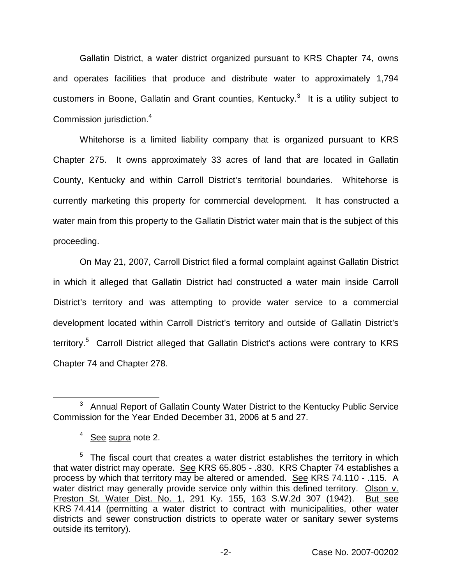Gallatin District, a water district organized pursuant to KRS Chapter 74, owns and operates facilities that produce and distribute water to approximately 1,794 customers in Boone, Gallatin and Grant counties, Kentucky.<sup>3</sup> It is a utility subject to Commission jurisdiction.<sup>4</sup>

Whitehorse is a limited liability company that is organized pursuant to KRS Chapter 275. It owns approximately 33 acres of land that are located in Gallatin County, Kentucky and within Carroll District's territorial boundaries. Whitehorse is currently marketing this property for commercial development. It has constructed a water main from this property to the Gallatin District water main that is the subject of this proceeding.

On May 21, 2007, Carroll District filed a formal complaint against Gallatin District in which it alleged that Gallatin District had constructed a water main inside Carroll District's territory and was attempting to provide water service to a commercial development located within Carroll District's territory and outside of Gallatin District's territory.<sup>5</sup> Carroll District alleged that Gallatin District's actions were contrary to KRS Chapter 74 and Chapter 278.

<sup>&</sup>lt;sup>3</sup> Annual Report of Gallatin County Water District to the Kentucky Public Service Commission for the Year Ended December 31, 2006 at 5 and 27.

<sup>&</sup>lt;sup>4</sup> See supra note 2.

 $5$  The fiscal court that creates a water district establishes the territory in which that water district may operate. See KRS 65.805 - .830. KRS Chapter 74 establishes a process by which that territory may be altered or amended. See KRS 74.110 - .115. A water district may generally provide service only within this defined territory. Olson v. Preston St. Water Dist. No. 1, 291 Ky. 155, 163 S.W.2d 307 (1942). But see KRS 74.414 (permitting a water district to contract with municipalities, other water districts and sewer construction districts to operate water or sanitary sewer systems outside its territory).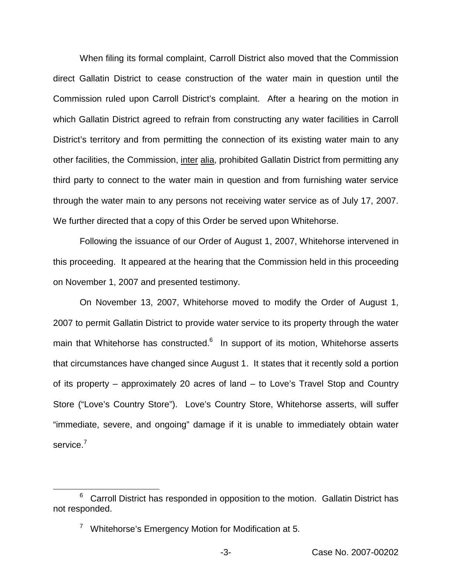When filing its formal complaint, Carroll District also moved that the Commission direct Gallatin District to cease construction of the water main in question until the Commission ruled upon Carroll District's complaint. After a hearing on the motion in which Gallatin District agreed to refrain from constructing any water facilities in Carroll District's territory and from permitting the connection of its existing water main to any other facilities, the Commission, inter alia, prohibited Gallatin District from permitting any third party to connect to the water main in question and from furnishing water service through the water main to any persons not receiving water service as of July 17, 2007. We further directed that a copy of this Order be served upon Whitehorse.

Following the issuance of our Order of August 1, 2007, Whitehorse intervened in this proceeding. It appeared at the hearing that the Commission held in this proceeding on November 1, 2007 and presented testimony.

On November 13, 2007, Whitehorse moved to modify the Order of August 1, 2007 to permit Gallatin District to provide water service to its property through the water main that Whitehorse has constructed.<sup>6</sup> In support of its motion, Whitehorse asserts that circumstances have changed since August 1. It states that it recently sold a portion of its property – approximately 20 acres of land – to Love's Travel Stop and Country Store ("Love's Country Store"). Love's Country Store, Whitehorse asserts, will suffer "immediate, severe, and ongoing" damage if it is unable to immediately obtain water service.<sup>7</sup>

 $6$  Carroll District has responded in opposition to the motion. Gallatin District has not responded.

<sup>&</sup>lt;sup>7</sup> Whitehorse's Emergency Motion for Modification at 5.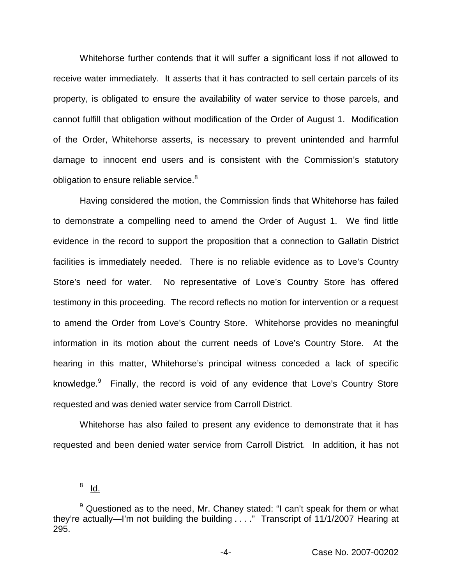Whitehorse further contends that it will suffer a significant loss if not allowed to receive water immediately. It asserts that it has contracted to sell certain parcels of its property, is obligated to ensure the availability of water service to those parcels, and cannot fulfill that obligation without modification of the Order of August 1. Modification of the Order, Whitehorse asserts, is necessary to prevent unintended and harmful damage to innocent end users and is consistent with the Commission's statutory obligation to ensure reliable service.<sup>8</sup>

Having considered the motion, the Commission finds that Whitehorse has failed to demonstrate a compelling need to amend the Order of August 1. We find little evidence in the record to support the proposition that a connection to Gallatin District facilities is immediately needed. There is no reliable evidence as to Love's Country Store's need for water. No representative of Love's Country Store has offered testimony in this proceeding. The record reflects no motion for intervention or a request to amend the Order from Love's Country Store. Whitehorse provides no meaningful information in its motion about the current needs of Love's Country Store. At the hearing in this matter, Whitehorse's principal witness conceded a lack of specific knowledge.<sup>9</sup> Finally, the record is void of any evidence that Love's Country Store requested and was denied water service from Carroll District.

Whitehorse has also failed to present any evidence to demonstrate that it has requested and been denied water service from Carroll District. In addition, it has not

 $8$  Id.

 $9$  Questioned as to the need, Mr. Chaney stated: "I can't speak for them or what they're actually—I'm not building the building . . . ." Transcript of 11/1/2007 Hearing at 295.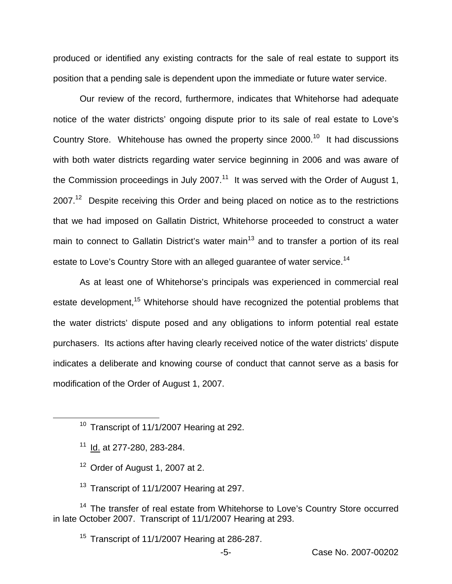produced or identified any existing contracts for the sale of real estate to support its position that a pending sale is dependent upon the immediate or future water service.

Our review of the record, furthermore, indicates that Whitehorse had adequate notice of the water districts' ongoing dispute prior to its sale of real estate to Love's Country Store. Whitehouse has owned the property since  $2000$ .<sup>10</sup> It had discussions with both water districts regarding water service beginning in 2006 and was aware of the Commission proceedings in July 2007.<sup>11</sup> It was served with the Order of August 1,  $2007.<sup>12</sup>$  Despite receiving this Order and being placed on notice as to the restrictions that we had imposed on Gallatin District, Whitehorse proceeded to construct a water main to connect to Gallatin District's water main<sup>13</sup> and to transfer a portion of its real estate to Love's Country Store with an alleged guarantee of water service.<sup>14</sup>

As at least one of Whitehorse's principals was experienced in commercial real estate development,<sup>15</sup> Whitehorse should have recognized the potential problems that the water districts' dispute posed and any obligations to inform potential real estate purchasers. Its actions after having clearly received notice of the water districts' dispute indicates a deliberate and knowing course of conduct that cannot serve as a basis for modification of the Order of August 1, 2007.

- $12$  Order of August 1, 2007 at 2.
- <sup>13</sup> Transcript of 11/1/2007 Hearing at 297.

<sup>14</sup> The transfer of real estate from Whitehorse to Love's Country Store occurred in late October 2007. Transcript of 11/1/2007 Hearing at 293.

 $15$  Transcript of 11/1/2007 Hearing at 286-287.

 $10$  Transcript of 11/1/2007 Hearing at 292.

 $11$  Id. at 277-280, 283-284.